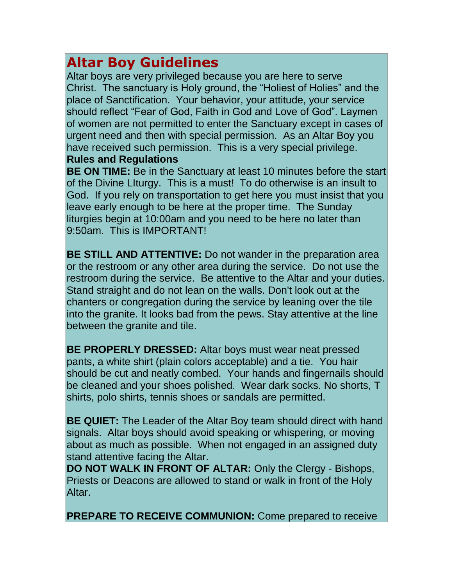# **Altar Boy Guidelines**

Altar boys are very privileged because you are here to serve Christ. The sanctuary is Holy ground, the "Holiest of Holies" and the place of Sanctification. Your behavior, your attitude, your service should reflect "Fear of God, Faith in God and Love of God". Laymen of women are not permitted to enter the Sanctuary except in cases of urgent need and then with special permission. As an Altar Boy you have received such permission. This is a very special privilege. **Rules and Regulations**

**BE ON TIME:** Be in the Sanctuary at least 10 minutes before the start of the Divine LIturgy. This is a must! To do otherwise is an insult to God. If you rely on transportation to get here you must insist that you leave early enough to be here at the proper time. The Sunday liturgies begin at 10:00am and you need to be here no later than 9:50am. This is IMPORTANT!

**BE STILL AND ATTENTIVE:** Do not wander in the preparation area or the restroom or any other area during the service. Do not use the restroom during the service. Be attentive to the Altar and your duties. Stand straight and do not lean on the walls. Don't look out at the chanters or congregation during the service by leaning over the tile into the granite. It looks bad from the pews. Stay attentive at the line between the granite and tile.

**BE PROPERLY DRESSED:** Altar boys must wear neat pressed pants, a white shirt (plain colors acceptable) and a tie. You hair should be cut and neatly combed. Your hands and fingernails should be cleaned and your shoes polished. Wear dark socks. No shorts, T shirts, polo shirts, tennis shoes or sandals are permitted.

**BE QUIET:** The Leader of the Altar Boy team should direct with hand signals. Altar boys should avoid speaking or whispering, or moving about as much as possible. When not engaged in an assigned duty stand attentive facing the Altar.

**DO NOT WALK IN FRONT OF ALTAR:** Only the Clergy - Bishops, Priests or Deacons are allowed to stand or walk in front of the Holy Altar.

**PREPARE TO RECEIVE COMMUNION:** Come prepared to receive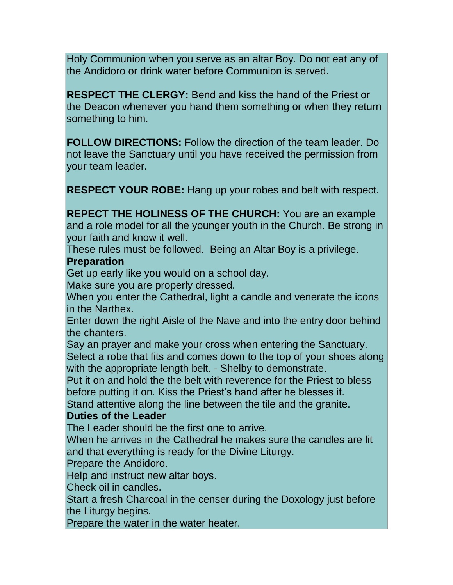Holy Communion when you serve as an altar Boy. Do not eat any of the Andidoro or drink water before Communion is served.

**RESPECT THE CLERGY:** Bend and kiss the hand of the Priest or the Deacon whenever you hand them something or when they return something to him.

**FOLLOW DIRECTIONS:** Follow the direction of the team leader. Do not leave the Sanctuary until you have received the permission from your team leader.

**RESPECT YOUR ROBE:** Hang up your robes and belt with respect.

**REPECT THE HOLINESS OF THE CHURCH:** You are an example and a role model for all the younger youth in the Church. Be strong in your faith and know it well.

These rules must be followed. Being an Altar Boy is a privilege.

### **Preparation**

Get up early like you would on a school day.

Make sure you are properly dressed.

When you enter the Cathedral, light a candle and venerate the icons in the Narthex.

Enter down the right Aisle of the Nave and into the entry door behind the chanters.

Say an prayer and make your cross when entering the Sanctuary. Select a robe that fits and comes down to the top of your shoes along with the appropriate length belt. - Shelby to demonstrate.

Put it on and hold the the belt with reverence for the Priest to bless before putting it on. Kiss the Priest's hand after he blesses it.

Stand attentive along the line between the tile and the granite.

## **Duties of the Leader**

The Leader should be the first one to arrive.

When he arrives in the Cathedral he makes sure the candles are lit and that everything is ready for the Divine Liturgy.

Prepare the Andidoro.

Help and instruct new altar boys.

Check oil in candles.

Start a fresh Charcoal in the censer during the Doxology just before the Liturgy begins.

Prepare the water in the water heater.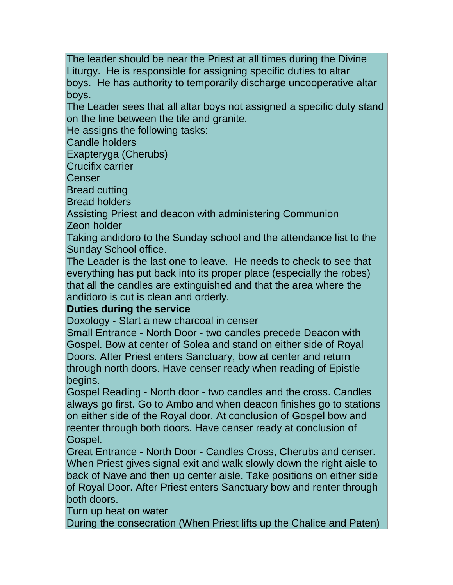The leader should be near the Priest at all times during the Divine Liturgy. He is responsible for assigning specific duties to altar boys. He has authority to temporarily discharge uncooperative altar boys.

The Leader sees that all altar boys not assigned a specific duty stand on the line between the tile and granite.

He assigns the following tasks:

Candle holders

Exapteryga (Cherubs)

Crucifix carrier

Censer

Bread cutting

Bread holders

Assisting Priest and deacon with administering Communion Zeon holder

Taking andidoro to the Sunday school and the attendance list to the Sunday School office.

The Leader is the last one to leave. He needs to check to see that everything has put back into its proper place (especially the robes) that all the candles are extinguished and that the area where the andidoro is cut is clean and orderly.

## **Duties during the service**

Doxology - Start a new charcoal in censer

Small Entrance - North Door - two candles precede Deacon with Gospel. Bow at center of Solea and stand on either side of Royal Doors. After Priest enters Sanctuary, bow at center and return through north doors. Have censer ready when reading of Epistle begins.

Gospel Reading - North door - two candles and the cross. Candles always go first. Go to Ambo and when deacon finishes go to stations on either side of the Royal door. At conclusion of Gospel bow and reenter through both doors. Have censer ready at conclusion of Gospel.

Great Entrance - North Door - Candles Cross, Cherubs and censer. When Priest gives signal exit and walk slowly down the right aisle to back of Nave and then up center aisle. Take positions on either side of Royal Door. After Priest enters Sanctuary bow and renter through both doors.

Turn up heat on water

During the consecration (When Priest lifts up the Chalice and Paten)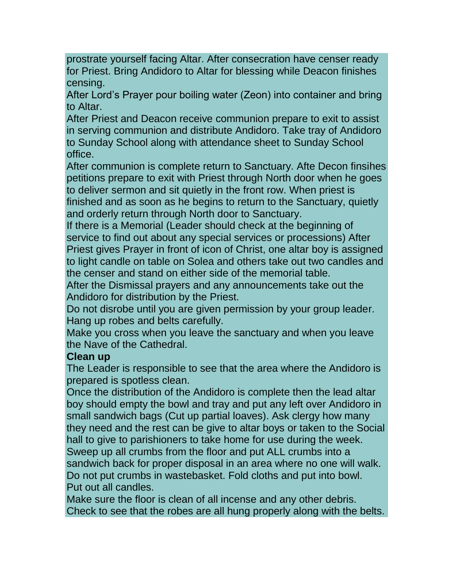prostrate yourself facing Altar. After consecration have censer ready for Priest. Bring Andidoro to Altar for blessing while Deacon finishes censing.

After Lord's Prayer pour boiling water (Zeon) into container and bring to Altar.

After Priest and Deacon receive communion prepare to exit to assist in serving communion and distribute Andidoro. Take tray of Andidoro to Sunday School along with attendance sheet to Sunday School office.

After communion is complete return to Sanctuary. Afte Decon finsihes petitions prepare to exit with Priest through North door when he goes to deliver sermon and sit quietly in the front row. When priest is finished and as soon as he begins to return to the Sanctuary, quietly and orderly return through North door to Sanctuary.

If there is a Memorial (Leader should check at the beginning of service to find out about any special services or processions) After Priest gives Prayer in front of icon of Christ, one altar boy is assigned to light candle on table on Solea and others take out two candles and the censer and stand on either side of the memorial table.

After the Dismissal prayers and any announcements take out the Andidoro for distribution by the Priest.

Do not disrobe until you are given permission by your group leader. Hang up robes and belts carefully.

Make you cross when you leave the sanctuary and when you leave the Nave of the Cathedral.

### **Clean up**

The Leader is responsible to see that the area where the Andidoro is prepared is spotless clean.

Once the distribution of the Andidoro is complete then the lead altar boy should empty the bowl and tray and put any left over Andidoro in small sandwich bags (Cut up partial loaves). Ask clergy how many they need and the rest can be give to altar boys or taken to the Social hall to give to parishioners to take home for use during the week. Sweep up all crumbs from the floor and put ALL crumbs into a sandwich back for proper disposal in an area where no one will walk. Do not put crumbs in wastebasket. Fold cloths and put into bowl. Put out all candles.

Make sure the floor is clean of all incense and any other debris. Check to see that the robes are all hung properly along with the belts.